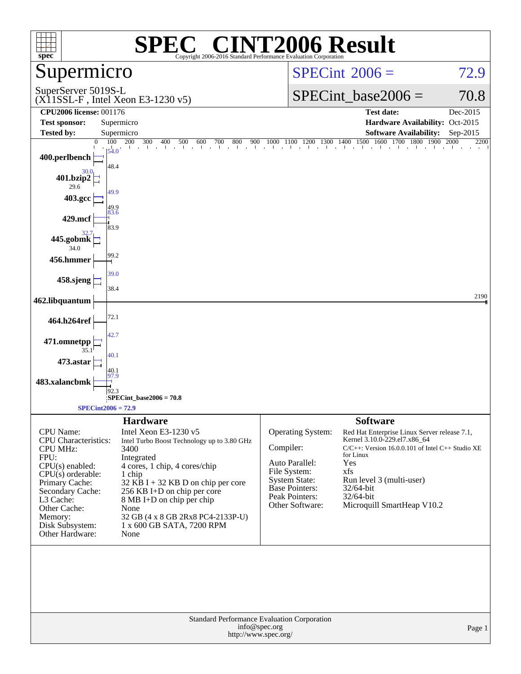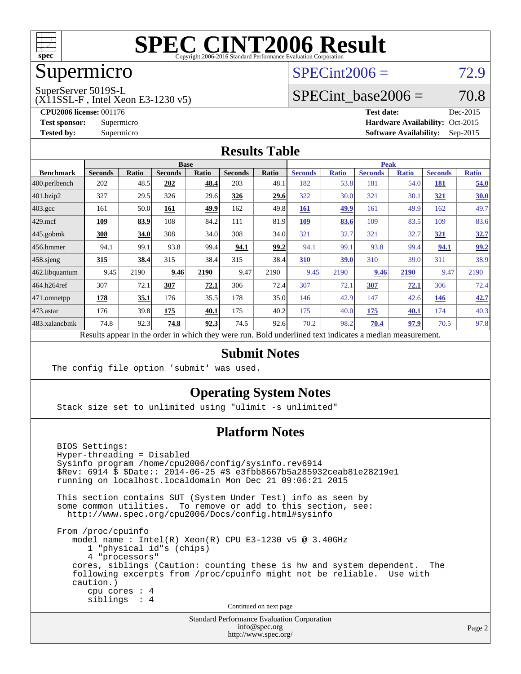

## Supermicro

## $SPECint2006 = 72.9$  $SPECint2006 = 72.9$

SuperServer 5019S-L

(X11SSL-F , Intel Xeon E3-1230 v5)

SPECint base2006 =  $70.8$ 

**[CPU2006 license:](http://www.spec.org/auto/cpu2006/Docs/result-fields.html#CPU2006license)** 001176 **[Test date:](http://www.spec.org/auto/cpu2006/Docs/result-fields.html#Testdate)** Dec-2015 **[Test sponsor:](http://www.spec.org/auto/cpu2006/Docs/result-fields.html#Testsponsor)** Supermicro Supermicro **[Hardware Availability:](http://www.spec.org/auto/cpu2006/Docs/result-fields.html#HardwareAvailability)** Oct-2015 **[Tested by:](http://www.spec.org/auto/cpu2006/Docs/result-fields.html#Testedby)** Supermicro **Supermicro [Software Availability:](http://www.spec.org/auto/cpu2006/Docs/result-fields.html#SoftwareAvailability)** Sep-2015

#### **[Results Table](http://www.spec.org/auto/cpu2006/Docs/result-fields.html#ResultsTable)**

|                                                                                                          | <b>Base</b>    |       |                |       |                | <b>Peak</b> |                |              |                |              |                |              |
|----------------------------------------------------------------------------------------------------------|----------------|-------|----------------|-------|----------------|-------------|----------------|--------------|----------------|--------------|----------------|--------------|
| <b>Benchmark</b>                                                                                         | <b>Seconds</b> | Ratio | <b>Seconds</b> | Ratio | <b>Seconds</b> | Ratio       | <b>Seconds</b> | <b>Ratio</b> | <b>Seconds</b> | <b>Ratio</b> | <b>Seconds</b> | <b>Ratio</b> |
| $ 400.\text{perlbench}$                                                                                  | 202            | 48.5  | 202            | 48.4  | 203            | 48.1        | 182            | 53.8         | 181            | 54.0         | <b>181</b>     | 54.0         |
| 401.bzip2                                                                                                | 327            | 29.5  | 326            | 29.6  | 326            | <u>29.6</u> | 322            | 30.0         | 321            | 30.1         | 321            | 30.0         |
| $403.\text{gcc}$                                                                                         | 161            | 50.0  | 161            | 49.9  | 162            | 49.8        | 161            | 49.9         | 161            | 49.9         | 162            | 49.7         |
| $429$ mcf                                                                                                | 109            | 83.9  | 108            | 84.2  | 111            | 81.9        | 109            | 83.6         | 109            | 83.5         | 109            | 83.6         |
| $445$ .gobmk                                                                                             | 308            | 34.0  | 308            | 34.0  | 308            | 34.0        | 321            | 32.7         | 321            | 32.7         | 321            | <u>32.7</u>  |
| $ 456$ .hmmer                                                                                            | 94.1           | 99.1  | 93.8           | 99.4  | 94.1           | 99.2        | 94.1           | 99.1         | 93.8           | 99.4         | 94.1           | 99.2         |
| $458$ .sjeng                                                                                             | 315            | 38.4  | 315            | 38.4  | 315            | 38.4        | 310            | 39.0         | 310            | 39.0         | 311            | 38.9         |
| 462.libquantum                                                                                           | 9.45           | 2190  | 9.46           | 2190  | 9.47           | 2190        | 9.45           | 2190         | 9.46           | 2190         | 9.47           | 2190         |
| 464.h264ref                                                                                              | 307            | 72.1  | 307            | 72.1  | 306            | 72.4        | 307            | 72.1         | 307            | 72.1         | 306            | 72.4         |
| 471.omnetpp                                                                                              | 178            | 35.1  | 176            | 35.5  | 178            | 35.0        | 146            | 42.9         | 147            | 42.6         | 146            | 42.7         |
| $473$ . astar                                                                                            | 176            | 39.8  | 175            | 40.1  | 175            | 40.2        | 175            | 40.0         | 175            | 40.1         | 174            | 40.3         |
| 483.xalancbmk                                                                                            | 74.8           | 92.3  | 74.8           | 92.3  | 74.5           | 92.6        | 70.2           | 98.2         | 70.4           | 97.9         | 70.5           | 97.8         |
| Results appear in the order in which they were run. Bold underlined text indicates a median measurement. |                |       |                |       |                |             |                |              |                |              |                |              |

#### **[Submit Notes](http://www.spec.org/auto/cpu2006/Docs/result-fields.html#SubmitNotes)**

The config file option 'submit' was used.

#### **[Operating System Notes](http://www.spec.org/auto/cpu2006/Docs/result-fields.html#OperatingSystemNotes)**

Stack size set to unlimited using "ulimit -s unlimited"

#### **[Platform Notes](http://www.spec.org/auto/cpu2006/Docs/result-fields.html#PlatformNotes)**

 BIOS Settings: Hyper-threading = Disabled Sysinfo program /home/cpu2006/config/sysinfo.rev6914 \$Rev: 6914 \$ \$Date:: 2014-06-25 #\$ e3fbb8667b5a285932ceab81e28219e1 running on localhost.localdomain Mon Dec 21 09:06:21 2015 This section contains SUT (System Under Test) info as seen by some common utilities. To remove or add to this section, see: <http://www.spec.org/cpu2006/Docs/config.html#sysinfo> From /proc/cpuinfo model name : Intel(R) Xeon(R) CPU E3-1230 v5 @ 3.40GHz 1 "physical id"s (chips) 4 "processors" cores, siblings (Caution: counting these is hw and system dependent. The following excerpts from /proc/cpuinfo might not be reliable. Use with caution.) cpu cores : 4 siblings : 4 Continued on next page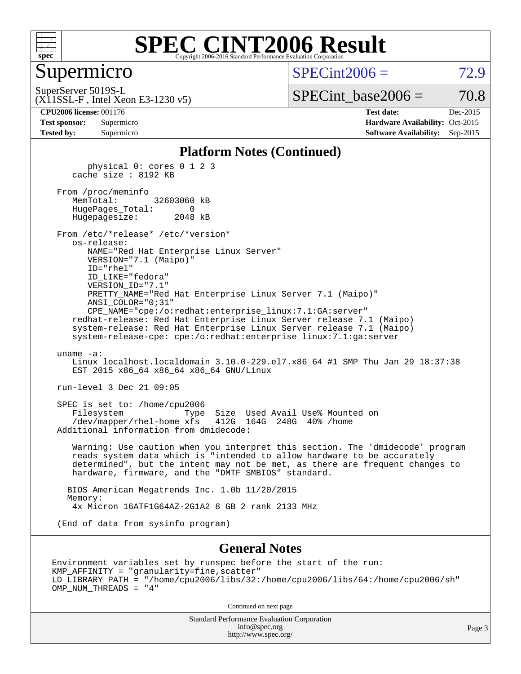

#### Supermicro

 $SPECint2006 = 72.9$  $SPECint2006 = 72.9$ 

SuperServer 5019S-L

(X11SSL-F , Intel Xeon E3-1230 v5)

 $SPECTnt\_base2006 = 70.8$ 

**[CPU2006 license:](http://www.spec.org/auto/cpu2006/Docs/result-fields.html#CPU2006license)** 001176 **[Test date:](http://www.spec.org/auto/cpu2006/Docs/result-fields.html#Testdate)** Dec-2015 **[Test sponsor:](http://www.spec.org/auto/cpu2006/Docs/result-fields.html#Testsponsor)** Supermicro Supermicro **[Hardware Availability:](http://www.spec.org/auto/cpu2006/Docs/result-fields.html#HardwareAvailability)** Oct-2015 **[Tested by:](http://www.spec.org/auto/cpu2006/Docs/result-fields.html#Testedby)** Supermicro **Supermicro [Software Availability:](http://www.spec.org/auto/cpu2006/Docs/result-fields.html#SoftwareAvailability)** Sep-2015

#### **[Platform Notes \(Continued\)](http://www.spec.org/auto/cpu2006/Docs/result-fields.html#PlatformNotes)**

 physical 0: cores 0 1 2 3 cache size : 8192 KB From /proc/meminfo MemTotal: 32603060 kB HugePages\_Total: 0 Hugepagesize: 2048 kB From /etc/\*release\* /etc/\*version\* os-release: NAME="Red Hat Enterprise Linux Server" VERSION="7.1 (Maipo)" ID="rhel" ID\_LIKE="fedora" VERSION\_ID="7.1" PRETTY\_NAME="Red Hat Enterprise Linux Server 7.1 (Maipo)" ANSI\_COLOR="0;31" CPE\_NAME="cpe:/o:redhat:enterprise\_linux:7.1:GA:server" redhat-release: Red Hat Enterprise Linux Server release 7.1 (Maipo) system-release: Red Hat Enterprise Linux Server release 7.1 (Maipo) system-release-cpe: cpe:/o:redhat:enterprise\_linux:7.1:ga:server uname -a: Linux localhost.localdomain 3.10.0-229.el7.x86\_64 #1 SMP Thu Jan 29 18:37:38 EST 2015 x86 64 x86 64 x86 64 GNU/Linux run-level 3 Dec 21 09:05 SPEC is set to: /home/cpu2006 Filesystem Type Size Used Avail Use% Mounted on /dev/mapper/rhel-home xfs 412G 164G 248G 40% /home Additional information from dmidecode: Warning: Use caution when you interpret this section. The 'dmidecode' program reads system data which is "intended to allow hardware to be accurately determined", but the intent may not be met, as there are frequent changes to hardware, firmware, and the "DMTF SMBIOS" standard. BIOS American Megatrends Inc. 1.0b 11/20/2015 Memory: 4x Micron 16ATF1G64AZ-2G1A2 8 GB 2 rank 2133 MHz

(End of data from sysinfo program)

#### **[General Notes](http://www.spec.org/auto/cpu2006/Docs/result-fields.html#GeneralNotes)**

Environment variables set by runspec before the start of the run: KMP\_AFFINITY = "granularity=fine,scatter" LD\_LIBRARY\_PATH = "/home/cpu2006/libs/32:/home/cpu2006/libs/64:/home/cpu2006/sh" OMP\_NUM\_THREADS = "4"

Continued on next page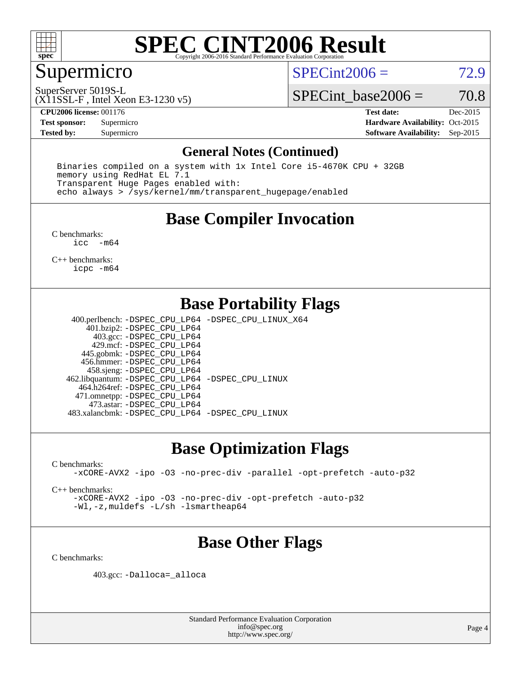

## Supermicro

 $SPECint2006 = 72.9$  $SPECint2006 = 72.9$ 

SuperServer 5019S-L

(X11SSL-F , Intel Xeon E3-1230 v5)

SPECint base2006 =  $70.8$ 

**[CPU2006 license:](http://www.spec.org/auto/cpu2006/Docs/result-fields.html#CPU2006license)** 001176 **[Test date:](http://www.spec.org/auto/cpu2006/Docs/result-fields.html#Testdate)** Dec-2015 **[Test sponsor:](http://www.spec.org/auto/cpu2006/Docs/result-fields.html#Testsponsor)** Supermicro Supermicro **[Hardware Availability:](http://www.spec.org/auto/cpu2006/Docs/result-fields.html#HardwareAvailability)** Oct-2015 **[Tested by:](http://www.spec.org/auto/cpu2006/Docs/result-fields.html#Testedby)** Supermicro **Supermicro [Software Availability:](http://www.spec.org/auto/cpu2006/Docs/result-fields.html#SoftwareAvailability)** Sep-2015

#### **[General Notes \(Continued\)](http://www.spec.org/auto/cpu2006/Docs/result-fields.html#GeneralNotes)**

 Binaries compiled on a system with 1x Intel Core i5-4670K CPU + 32GB memory using RedHat EL 7.1 Transparent Huge Pages enabled with: echo always > /sys/kernel/mm/transparent\_hugepage/enabled

## **[Base Compiler Invocation](http://www.spec.org/auto/cpu2006/Docs/result-fields.html#BaseCompilerInvocation)**

[C benchmarks](http://www.spec.org/auto/cpu2006/Docs/result-fields.html#Cbenchmarks): [icc -m64](http://www.spec.org/cpu2006/results/res2016q1/cpu2006-20151223-38516.flags.html#user_CCbase_intel_icc_64bit_f346026e86af2a669e726fe758c88044)

[C++ benchmarks:](http://www.spec.org/auto/cpu2006/Docs/result-fields.html#CXXbenchmarks) [icpc -m64](http://www.spec.org/cpu2006/results/res2016q1/cpu2006-20151223-38516.flags.html#user_CXXbase_intel_icpc_64bit_fc66a5337ce925472a5c54ad6a0de310)

## **[Base Portability Flags](http://www.spec.org/auto/cpu2006/Docs/result-fields.html#BasePortabilityFlags)**

 400.perlbench: [-DSPEC\\_CPU\\_LP64](http://www.spec.org/cpu2006/results/res2016q1/cpu2006-20151223-38516.flags.html#b400.perlbench_basePORTABILITY_DSPEC_CPU_LP64) [-DSPEC\\_CPU\\_LINUX\\_X64](http://www.spec.org/cpu2006/results/res2016q1/cpu2006-20151223-38516.flags.html#b400.perlbench_baseCPORTABILITY_DSPEC_CPU_LINUX_X64) 401.bzip2: [-DSPEC\\_CPU\\_LP64](http://www.spec.org/cpu2006/results/res2016q1/cpu2006-20151223-38516.flags.html#suite_basePORTABILITY401_bzip2_DSPEC_CPU_LP64) 403.gcc: [-DSPEC\\_CPU\\_LP64](http://www.spec.org/cpu2006/results/res2016q1/cpu2006-20151223-38516.flags.html#suite_basePORTABILITY403_gcc_DSPEC_CPU_LP64) 429.mcf: [-DSPEC\\_CPU\\_LP64](http://www.spec.org/cpu2006/results/res2016q1/cpu2006-20151223-38516.flags.html#suite_basePORTABILITY429_mcf_DSPEC_CPU_LP64) 445.gobmk: [-DSPEC\\_CPU\\_LP64](http://www.spec.org/cpu2006/results/res2016q1/cpu2006-20151223-38516.flags.html#suite_basePORTABILITY445_gobmk_DSPEC_CPU_LP64) 456.hmmer: [-DSPEC\\_CPU\\_LP64](http://www.spec.org/cpu2006/results/res2016q1/cpu2006-20151223-38516.flags.html#suite_basePORTABILITY456_hmmer_DSPEC_CPU_LP64) 458.sjeng: [-DSPEC\\_CPU\\_LP64](http://www.spec.org/cpu2006/results/res2016q1/cpu2006-20151223-38516.flags.html#suite_basePORTABILITY458_sjeng_DSPEC_CPU_LP64) 462.libquantum: [-DSPEC\\_CPU\\_LP64](http://www.spec.org/cpu2006/results/res2016q1/cpu2006-20151223-38516.flags.html#suite_basePORTABILITY462_libquantum_DSPEC_CPU_LP64) [-DSPEC\\_CPU\\_LINUX](http://www.spec.org/cpu2006/results/res2016q1/cpu2006-20151223-38516.flags.html#b462.libquantum_baseCPORTABILITY_DSPEC_CPU_LINUX) 464.h264ref: [-DSPEC\\_CPU\\_LP64](http://www.spec.org/cpu2006/results/res2016q1/cpu2006-20151223-38516.flags.html#suite_basePORTABILITY464_h264ref_DSPEC_CPU_LP64) 471.omnetpp: [-DSPEC\\_CPU\\_LP64](http://www.spec.org/cpu2006/results/res2016q1/cpu2006-20151223-38516.flags.html#suite_basePORTABILITY471_omnetpp_DSPEC_CPU_LP64) 473.astar: [-DSPEC\\_CPU\\_LP64](http://www.spec.org/cpu2006/results/res2016q1/cpu2006-20151223-38516.flags.html#suite_basePORTABILITY473_astar_DSPEC_CPU_LP64) 483.xalancbmk: [-DSPEC\\_CPU\\_LP64](http://www.spec.org/cpu2006/results/res2016q1/cpu2006-20151223-38516.flags.html#suite_basePORTABILITY483_xalancbmk_DSPEC_CPU_LP64) [-DSPEC\\_CPU\\_LINUX](http://www.spec.org/cpu2006/results/res2016q1/cpu2006-20151223-38516.flags.html#b483.xalancbmk_baseCXXPORTABILITY_DSPEC_CPU_LINUX)

#### **[Base Optimization Flags](http://www.spec.org/auto/cpu2006/Docs/result-fields.html#BaseOptimizationFlags)**

[C benchmarks](http://www.spec.org/auto/cpu2006/Docs/result-fields.html#Cbenchmarks):

[-xCORE-AVX2](http://www.spec.org/cpu2006/results/res2016q1/cpu2006-20151223-38516.flags.html#user_CCbase_f-xAVX2_5f5fc0cbe2c9f62c816d3e45806c70d7) [-ipo](http://www.spec.org/cpu2006/results/res2016q1/cpu2006-20151223-38516.flags.html#user_CCbase_f-ipo) [-O3](http://www.spec.org/cpu2006/results/res2016q1/cpu2006-20151223-38516.flags.html#user_CCbase_f-O3) [-no-prec-div](http://www.spec.org/cpu2006/results/res2016q1/cpu2006-20151223-38516.flags.html#user_CCbase_f-no-prec-div) [-parallel](http://www.spec.org/cpu2006/results/res2016q1/cpu2006-20151223-38516.flags.html#user_CCbase_f-parallel) [-opt-prefetch](http://www.spec.org/cpu2006/results/res2016q1/cpu2006-20151223-38516.flags.html#user_CCbase_f-opt-prefetch) [-auto-p32](http://www.spec.org/cpu2006/results/res2016q1/cpu2006-20151223-38516.flags.html#user_CCbase_f-auto-p32)

[C++ benchmarks:](http://www.spec.org/auto/cpu2006/Docs/result-fields.html#CXXbenchmarks)

[-xCORE-AVX2](http://www.spec.org/cpu2006/results/res2016q1/cpu2006-20151223-38516.flags.html#user_CXXbase_f-xAVX2_5f5fc0cbe2c9f62c816d3e45806c70d7) [-ipo](http://www.spec.org/cpu2006/results/res2016q1/cpu2006-20151223-38516.flags.html#user_CXXbase_f-ipo) [-O3](http://www.spec.org/cpu2006/results/res2016q1/cpu2006-20151223-38516.flags.html#user_CXXbase_f-O3) [-no-prec-div](http://www.spec.org/cpu2006/results/res2016q1/cpu2006-20151223-38516.flags.html#user_CXXbase_f-no-prec-div) [-opt-prefetch](http://www.spec.org/cpu2006/results/res2016q1/cpu2006-20151223-38516.flags.html#user_CXXbase_f-opt-prefetch) [-auto-p32](http://www.spec.org/cpu2006/results/res2016q1/cpu2006-20151223-38516.flags.html#user_CXXbase_f-auto-p32) [-Wl,-z,muldefs](http://www.spec.org/cpu2006/results/res2016q1/cpu2006-20151223-38516.flags.html#user_CXXbase_link_force_multiple1_74079c344b956b9658436fd1b6dd3a8a) [-L/sh -lsmartheap64](http://www.spec.org/cpu2006/results/res2016q1/cpu2006-20151223-38516.flags.html#user_CXXbase_SmartHeap64_ed4ef857ce90951921efb0d91eb88472)

## **[Base Other Flags](http://www.spec.org/auto/cpu2006/Docs/result-fields.html#BaseOtherFlags)**

[C benchmarks](http://www.spec.org/auto/cpu2006/Docs/result-fields.html#Cbenchmarks):

403.gcc: [-Dalloca=\\_alloca](http://www.spec.org/cpu2006/results/res2016q1/cpu2006-20151223-38516.flags.html#b403.gcc_baseEXTRA_CFLAGS_Dalloca_be3056838c12de2578596ca5467af7f3)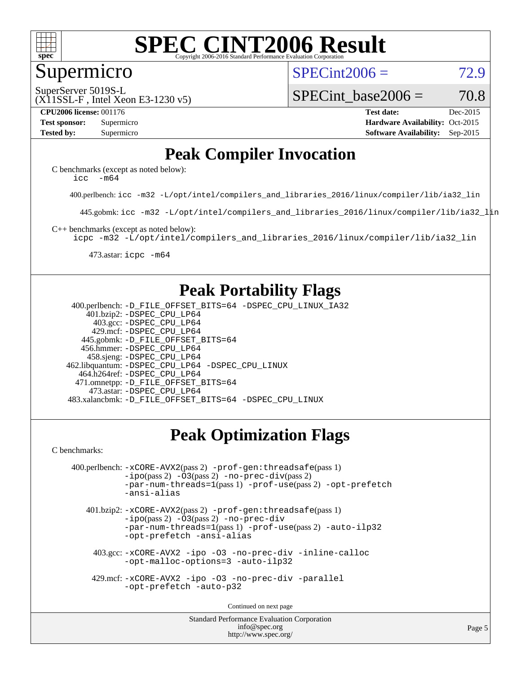

#### Supermicro

 $SPECint2006 = 72.9$  $SPECint2006 = 72.9$ 

(X11SSL-F , Intel Xeon E3-1230 v5) SuperServer 5019S-L

SPECint base2006 =  $70.8$ 

**[CPU2006 license:](http://www.spec.org/auto/cpu2006/Docs/result-fields.html#CPU2006license)** 001176 **[Test date:](http://www.spec.org/auto/cpu2006/Docs/result-fields.html#Testdate)** Dec-2015 **[Test sponsor:](http://www.spec.org/auto/cpu2006/Docs/result-fields.html#Testsponsor)** Supermicro Supermicro **[Hardware Availability:](http://www.spec.org/auto/cpu2006/Docs/result-fields.html#HardwareAvailability)** Oct-2015 **[Tested by:](http://www.spec.org/auto/cpu2006/Docs/result-fields.html#Testedby)** Supermicro **Supermicro [Software Availability:](http://www.spec.org/auto/cpu2006/Docs/result-fields.html#SoftwareAvailability)** Sep-2015

## **[Peak Compiler Invocation](http://www.spec.org/auto/cpu2006/Docs/result-fields.html#PeakCompilerInvocation)**

[C benchmarks \(except as noted below\)](http://www.spec.org/auto/cpu2006/Docs/result-fields.html#Cbenchmarksexceptasnotedbelow): [icc -m64](http://www.spec.org/cpu2006/results/res2016q1/cpu2006-20151223-38516.flags.html#user_CCpeak_intel_icc_64bit_f346026e86af2a669e726fe758c88044)

400.perlbench: [icc -m32 -L/opt/intel/compilers\\_and\\_libraries\\_2016/linux/compiler/lib/ia32\\_lin](http://www.spec.org/cpu2006/results/res2016q1/cpu2006-20151223-38516.flags.html#user_peakCCLD400_perlbench_intel_icc_e10256ba5924b668798078a321b0cb3f)

445.gobmk: [icc -m32 -L/opt/intel/compilers\\_and\\_libraries\\_2016/linux/compiler/lib/ia32\\_lin](http://www.spec.org/cpu2006/results/res2016q1/cpu2006-20151223-38516.flags.html#user_peakCCLD445_gobmk_intel_icc_e10256ba5924b668798078a321b0cb3f)

[C++ benchmarks \(except as noted below\):](http://www.spec.org/auto/cpu2006/Docs/result-fields.html#CXXbenchmarksexceptasnotedbelow)

[icpc -m32 -L/opt/intel/compilers\\_and\\_libraries\\_2016/linux/compiler/lib/ia32\\_lin](http://www.spec.org/cpu2006/results/res2016q1/cpu2006-20151223-38516.flags.html#user_CXXpeak_intel_icpc_b4f50a394bdb4597aa5879c16bc3f5c5)

473.astar: [icpc -m64](http://www.spec.org/cpu2006/results/res2016q1/cpu2006-20151223-38516.flags.html#user_peakCXXLD473_astar_intel_icpc_64bit_fc66a5337ce925472a5c54ad6a0de310)

#### **[Peak Portability Flags](http://www.spec.org/auto/cpu2006/Docs/result-fields.html#PeakPortabilityFlags)**

 400.perlbench: [-D\\_FILE\\_OFFSET\\_BITS=64](http://www.spec.org/cpu2006/results/res2016q1/cpu2006-20151223-38516.flags.html#user_peakPORTABILITY400_perlbench_file_offset_bits_64_438cf9856305ebd76870a2c6dc2689ab) [-DSPEC\\_CPU\\_LINUX\\_IA32](http://www.spec.org/cpu2006/results/res2016q1/cpu2006-20151223-38516.flags.html#b400.perlbench_peakCPORTABILITY_DSPEC_CPU_LINUX_IA32) 401.bzip2: [-DSPEC\\_CPU\\_LP64](http://www.spec.org/cpu2006/results/res2016q1/cpu2006-20151223-38516.flags.html#suite_peakPORTABILITY401_bzip2_DSPEC_CPU_LP64) 403.gcc: [-DSPEC\\_CPU\\_LP64](http://www.spec.org/cpu2006/results/res2016q1/cpu2006-20151223-38516.flags.html#suite_peakPORTABILITY403_gcc_DSPEC_CPU_LP64) 429.mcf: [-DSPEC\\_CPU\\_LP64](http://www.spec.org/cpu2006/results/res2016q1/cpu2006-20151223-38516.flags.html#suite_peakPORTABILITY429_mcf_DSPEC_CPU_LP64) 445.gobmk: [-D\\_FILE\\_OFFSET\\_BITS=64](http://www.spec.org/cpu2006/results/res2016q1/cpu2006-20151223-38516.flags.html#user_peakPORTABILITY445_gobmk_file_offset_bits_64_438cf9856305ebd76870a2c6dc2689ab) 456.hmmer: [-DSPEC\\_CPU\\_LP64](http://www.spec.org/cpu2006/results/res2016q1/cpu2006-20151223-38516.flags.html#suite_peakPORTABILITY456_hmmer_DSPEC_CPU_LP64) 458.sjeng: [-DSPEC\\_CPU\\_LP64](http://www.spec.org/cpu2006/results/res2016q1/cpu2006-20151223-38516.flags.html#suite_peakPORTABILITY458_sjeng_DSPEC_CPU_LP64) 462.libquantum: [-DSPEC\\_CPU\\_LP64](http://www.spec.org/cpu2006/results/res2016q1/cpu2006-20151223-38516.flags.html#suite_peakPORTABILITY462_libquantum_DSPEC_CPU_LP64) [-DSPEC\\_CPU\\_LINUX](http://www.spec.org/cpu2006/results/res2016q1/cpu2006-20151223-38516.flags.html#b462.libquantum_peakCPORTABILITY_DSPEC_CPU_LINUX) 464.h264ref: [-DSPEC\\_CPU\\_LP64](http://www.spec.org/cpu2006/results/res2016q1/cpu2006-20151223-38516.flags.html#suite_peakPORTABILITY464_h264ref_DSPEC_CPU_LP64) 471.omnetpp: [-D\\_FILE\\_OFFSET\\_BITS=64](http://www.spec.org/cpu2006/results/res2016q1/cpu2006-20151223-38516.flags.html#user_peakPORTABILITY471_omnetpp_file_offset_bits_64_438cf9856305ebd76870a2c6dc2689ab) 473.astar: [-DSPEC\\_CPU\\_LP64](http://www.spec.org/cpu2006/results/res2016q1/cpu2006-20151223-38516.flags.html#suite_peakPORTABILITY473_astar_DSPEC_CPU_LP64) 483.xalancbmk: [-D\\_FILE\\_OFFSET\\_BITS=64](http://www.spec.org/cpu2006/results/res2016q1/cpu2006-20151223-38516.flags.html#user_peakPORTABILITY483_xalancbmk_file_offset_bits_64_438cf9856305ebd76870a2c6dc2689ab) [-DSPEC\\_CPU\\_LINUX](http://www.spec.org/cpu2006/results/res2016q1/cpu2006-20151223-38516.flags.html#b483.xalancbmk_peakCXXPORTABILITY_DSPEC_CPU_LINUX)

## **[Peak Optimization Flags](http://www.spec.org/auto/cpu2006/Docs/result-fields.html#PeakOptimizationFlags)**

[C benchmarks](http://www.spec.org/auto/cpu2006/Docs/result-fields.html#Cbenchmarks):

```
 400.perlbench: -xCORE-AVX2(pass 2) -prof-gen:threadsafe(pass 1)
-no-prec-div(pass 2)-par-num-threads=1(pass 1) -prof-use(pass 2) -opt-prefetch
-ansi-alias
```
 401.bzip2: [-xCORE-AVX2](http://www.spec.org/cpu2006/results/res2016q1/cpu2006-20151223-38516.flags.html#user_peakPASS2_CFLAGSPASS2_LDCFLAGS401_bzip2_f-xAVX2_5f5fc0cbe2c9f62c816d3e45806c70d7)(pass 2) [-prof-gen:threadsafe](http://www.spec.org/cpu2006/results/res2016q1/cpu2006-20151223-38516.flags.html#user_peakPASS1_CFLAGSPASS1_LDCFLAGS401_bzip2_prof_gen_21a26eb79f378b550acd7bec9fe4467a)(pass 1)  $-i\text{po}(pass 2) -03(pass 2) -no-prec-div$  $-i\text{po}(pass 2) -03(pass 2) -no-prec-div$ [-par-num-threads=1](http://www.spec.org/cpu2006/results/res2016q1/cpu2006-20151223-38516.flags.html#user_peakPASS1_CFLAGSPASS1_LDCFLAGS401_bzip2_par_num_threads_786a6ff141b4e9e90432e998842df6c2)(pass 1) [-prof-use](http://www.spec.org/cpu2006/results/res2016q1/cpu2006-20151223-38516.flags.html#user_peakPASS2_CFLAGSPASS2_LDCFLAGS401_bzip2_prof_use_bccf7792157ff70d64e32fe3e1250b55)(pass 2) [-auto-ilp32](http://www.spec.org/cpu2006/results/res2016q1/cpu2006-20151223-38516.flags.html#user_peakCOPTIMIZE401_bzip2_f-auto-ilp32) [-opt-prefetch](http://www.spec.org/cpu2006/results/res2016q1/cpu2006-20151223-38516.flags.html#user_peakCOPTIMIZE401_bzip2_f-opt-prefetch) [-ansi-alias](http://www.spec.org/cpu2006/results/res2016q1/cpu2006-20151223-38516.flags.html#user_peakCOPTIMIZE401_bzip2_f-ansi-alias)

 403.gcc: [-xCORE-AVX2](http://www.spec.org/cpu2006/results/res2016q1/cpu2006-20151223-38516.flags.html#user_peakCOPTIMIZE403_gcc_f-xAVX2_5f5fc0cbe2c9f62c816d3e45806c70d7) [-ipo](http://www.spec.org/cpu2006/results/res2016q1/cpu2006-20151223-38516.flags.html#user_peakCOPTIMIZE403_gcc_f-ipo) [-O3](http://www.spec.org/cpu2006/results/res2016q1/cpu2006-20151223-38516.flags.html#user_peakCOPTIMIZE403_gcc_f-O3) [-no-prec-div](http://www.spec.org/cpu2006/results/res2016q1/cpu2006-20151223-38516.flags.html#user_peakCOPTIMIZE403_gcc_f-no-prec-div) [-inline-calloc](http://www.spec.org/cpu2006/results/res2016q1/cpu2006-20151223-38516.flags.html#user_peakCOPTIMIZE403_gcc_f-inline-calloc) [-opt-malloc-options=3](http://www.spec.org/cpu2006/results/res2016q1/cpu2006-20151223-38516.flags.html#user_peakCOPTIMIZE403_gcc_f-opt-malloc-options_13ab9b803cf986b4ee62f0a5998c2238) [-auto-ilp32](http://www.spec.org/cpu2006/results/res2016q1/cpu2006-20151223-38516.flags.html#user_peakCOPTIMIZE403_gcc_f-auto-ilp32)

 429.mcf: [-xCORE-AVX2](http://www.spec.org/cpu2006/results/res2016q1/cpu2006-20151223-38516.flags.html#user_peakCOPTIMIZE429_mcf_f-xAVX2_5f5fc0cbe2c9f62c816d3e45806c70d7) [-ipo](http://www.spec.org/cpu2006/results/res2016q1/cpu2006-20151223-38516.flags.html#user_peakCOPTIMIZE429_mcf_f-ipo) [-O3](http://www.spec.org/cpu2006/results/res2016q1/cpu2006-20151223-38516.flags.html#user_peakCOPTIMIZE429_mcf_f-O3) [-no-prec-div](http://www.spec.org/cpu2006/results/res2016q1/cpu2006-20151223-38516.flags.html#user_peakCOPTIMIZE429_mcf_f-no-prec-div) [-parallel](http://www.spec.org/cpu2006/results/res2016q1/cpu2006-20151223-38516.flags.html#user_peakCOPTIMIZE429_mcf_f-parallel) [-opt-prefetch](http://www.spec.org/cpu2006/results/res2016q1/cpu2006-20151223-38516.flags.html#user_peakCOPTIMIZE429_mcf_f-opt-prefetch) [-auto-p32](http://www.spec.org/cpu2006/results/res2016q1/cpu2006-20151223-38516.flags.html#user_peakCOPTIMIZE429_mcf_f-auto-p32)

Continued on next page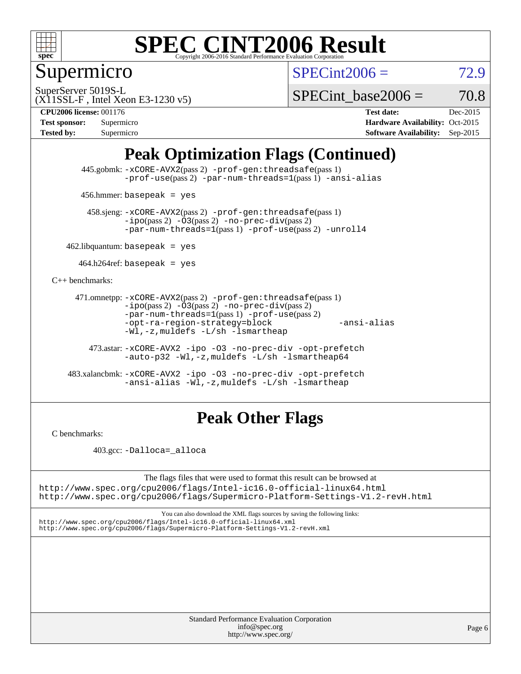

Supermicro

 $SPECint2006 = 72.9$  $SPECint2006 = 72.9$ 

(X11SSL-F , Intel Xeon E3-1230 v5) SuperServer 5019S-L

SPECint base2006 =  $70.8$ 

**[CPU2006 license:](http://www.spec.org/auto/cpu2006/Docs/result-fields.html#CPU2006license)** 001176 **[Test date:](http://www.spec.org/auto/cpu2006/Docs/result-fields.html#Testdate)** Dec-2015

| <b>Test sponsor:</b> | Supermicro |
|----------------------|------------|
| <b>Tested by:</b>    | Supermicro |

**[Hardware Availability:](http://www.spec.org/auto/cpu2006/Docs/result-fields.html#HardwareAvailability)** Oct-2015 **[Software Availability:](http://www.spec.org/auto/cpu2006/Docs/result-fields.html#SoftwareAvailability)** Sep-2015

## **[Peak Optimization Flags \(Continued\)](http://www.spec.org/auto/cpu2006/Docs/result-fields.html#PeakOptimizationFlags)**

 445.gobmk: [-xCORE-AVX2](http://www.spec.org/cpu2006/results/res2016q1/cpu2006-20151223-38516.flags.html#user_peakPASS2_CFLAGSPASS2_LDCFLAGS445_gobmk_f-xAVX2_5f5fc0cbe2c9f62c816d3e45806c70d7)(pass 2) [-prof-gen:threadsafe](http://www.spec.org/cpu2006/results/res2016q1/cpu2006-20151223-38516.flags.html#user_peakPASS1_CFLAGSPASS1_LDCFLAGS445_gobmk_prof_gen_21a26eb79f378b550acd7bec9fe4467a)(pass 1) [-prof-use](http://www.spec.org/cpu2006/results/res2016q1/cpu2006-20151223-38516.flags.html#user_peakPASS2_CFLAGSPASS2_LDCFLAGS445_gobmk_prof_use_bccf7792157ff70d64e32fe3e1250b55)(pass 2) [-par-num-threads=1](http://www.spec.org/cpu2006/results/res2016q1/cpu2006-20151223-38516.flags.html#user_peakPASS1_CFLAGSPASS1_LDCFLAGS445_gobmk_par_num_threads_786a6ff141b4e9e90432e998842df6c2)(pass 1) [-ansi-alias](http://www.spec.org/cpu2006/results/res2016q1/cpu2006-20151223-38516.flags.html#user_peakCOPTIMIZE445_gobmk_f-ansi-alias)

456.hmmer: basepeak = yes

 458.sjeng: [-xCORE-AVX2](http://www.spec.org/cpu2006/results/res2016q1/cpu2006-20151223-38516.flags.html#user_peakPASS2_CFLAGSPASS2_LDCFLAGS458_sjeng_f-xAVX2_5f5fc0cbe2c9f62c816d3e45806c70d7)(pass 2) [-prof-gen:threadsafe](http://www.spec.org/cpu2006/results/res2016q1/cpu2006-20151223-38516.flags.html#user_peakPASS1_CFLAGSPASS1_LDCFLAGS458_sjeng_prof_gen_21a26eb79f378b550acd7bec9fe4467a)(pass 1)  $-ipo(pass 2) -\overline{O3(pass 2)}$  $-ipo(pass 2) -\overline{O3(pass 2)}$  [-no-prec-div](http://www.spec.org/cpu2006/results/res2016q1/cpu2006-20151223-38516.flags.html#user_peakPASS2_CFLAGSPASS2_LDCFLAGS458_sjeng_f-no-prec-div)(pass 2) [-par-num-threads=1](http://www.spec.org/cpu2006/results/res2016q1/cpu2006-20151223-38516.flags.html#user_peakPASS1_CFLAGSPASS1_LDCFLAGS458_sjeng_par_num_threads_786a6ff141b4e9e90432e998842df6c2)(pass 1) [-prof-use](http://www.spec.org/cpu2006/results/res2016q1/cpu2006-20151223-38516.flags.html#user_peakPASS2_CFLAGSPASS2_LDCFLAGS458_sjeng_prof_use_bccf7792157ff70d64e32fe3e1250b55)(pass 2) [-unroll4](http://www.spec.org/cpu2006/results/res2016q1/cpu2006-20151223-38516.flags.html#user_peakCOPTIMIZE458_sjeng_f-unroll_4e5e4ed65b7fd20bdcd365bec371b81f)

 $462$ .libquantum: basepeak = yes

 $464.h264$ ref: basepeak = yes

[C++ benchmarks:](http://www.spec.org/auto/cpu2006/Docs/result-fields.html#CXXbenchmarks)

```
 471.omnetpp: -xCORE-AVX2(pass 2) -prof-gen:threadsafe(pass 1)
-i\text{po}(pass 2) -03(pass 2) -no-prec-div(pass 2)-par-num-threads=1(pass 1) -prof-use(pass 2)
-opt-ra-region-strategy=block -ansi-alias
-Wl,-z,muldefs -L/sh -lsmartheap
```
 473.astar: [-xCORE-AVX2](http://www.spec.org/cpu2006/results/res2016q1/cpu2006-20151223-38516.flags.html#user_peakCXXOPTIMIZE473_astar_f-xAVX2_5f5fc0cbe2c9f62c816d3e45806c70d7) [-ipo](http://www.spec.org/cpu2006/results/res2016q1/cpu2006-20151223-38516.flags.html#user_peakCXXOPTIMIZE473_astar_f-ipo) [-O3](http://www.spec.org/cpu2006/results/res2016q1/cpu2006-20151223-38516.flags.html#user_peakCXXOPTIMIZE473_astar_f-O3) [-no-prec-div](http://www.spec.org/cpu2006/results/res2016q1/cpu2006-20151223-38516.flags.html#user_peakCXXOPTIMIZE473_astar_f-no-prec-div) [-opt-prefetch](http://www.spec.org/cpu2006/results/res2016q1/cpu2006-20151223-38516.flags.html#user_peakCXXOPTIMIZE473_astar_f-opt-prefetch) [-auto-p32](http://www.spec.org/cpu2006/results/res2016q1/cpu2006-20151223-38516.flags.html#user_peakCXXOPTIMIZE473_astar_f-auto-p32) [-Wl,-z,muldefs](http://www.spec.org/cpu2006/results/res2016q1/cpu2006-20151223-38516.flags.html#user_peakEXTRA_LDFLAGS473_astar_link_force_multiple1_74079c344b956b9658436fd1b6dd3a8a) [-L/sh -lsmartheap64](http://www.spec.org/cpu2006/results/res2016q1/cpu2006-20151223-38516.flags.html#user_peakEXTRA_LIBS473_astar_SmartHeap64_ed4ef857ce90951921efb0d91eb88472)

 483.xalancbmk: [-xCORE-AVX2](http://www.spec.org/cpu2006/results/res2016q1/cpu2006-20151223-38516.flags.html#user_peakCXXOPTIMIZE483_xalancbmk_f-xAVX2_5f5fc0cbe2c9f62c816d3e45806c70d7) [-ipo](http://www.spec.org/cpu2006/results/res2016q1/cpu2006-20151223-38516.flags.html#user_peakCXXOPTIMIZE483_xalancbmk_f-ipo) [-O3](http://www.spec.org/cpu2006/results/res2016q1/cpu2006-20151223-38516.flags.html#user_peakCXXOPTIMIZE483_xalancbmk_f-O3) [-no-prec-div](http://www.spec.org/cpu2006/results/res2016q1/cpu2006-20151223-38516.flags.html#user_peakCXXOPTIMIZE483_xalancbmk_f-no-prec-div) [-opt-prefetch](http://www.spec.org/cpu2006/results/res2016q1/cpu2006-20151223-38516.flags.html#user_peakCXXOPTIMIZE483_xalancbmk_f-opt-prefetch) [-ansi-alias](http://www.spec.org/cpu2006/results/res2016q1/cpu2006-20151223-38516.flags.html#user_peakCXXOPTIMIZE483_xalancbmk_f-ansi-alias) [-Wl,-z,muldefs](http://www.spec.org/cpu2006/results/res2016q1/cpu2006-20151223-38516.flags.html#user_peakEXTRA_LDFLAGS483_xalancbmk_link_force_multiple1_74079c344b956b9658436fd1b6dd3a8a) [-L/sh -lsmartheap](http://www.spec.org/cpu2006/results/res2016q1/cpu2006-20151223-38516.flags.html#user_peakEXTRA_LIBS483_xalancbmk_SmartHeap_32f6c82aa1ed9c52345d30cf6e4a0499)

## **[Peak Other Flags](http://www.spec.org/auto/cpu2006/Docs/result-fields.html#PeakOtherFlags)**

[C benchmarks](http://www.spec.org/auto/cpu2006/Docs/result-fields.html#Cbenchmarks):

403.gcc: [-Dalloca=\\_alloca](http://www.spec.org/cpu2006/results/res2016q1/cpu2006-20151223-38516.flags.html#b403.gcc_peakEXTRA_CFLAGS_Dalloca_be3056838c12de2578596ca5467af7f3)

The flags files that were used to format this result can be browsed at <http://www.spec.org/cpu2006/flags/Intel-ic16.0-official-linux64.html>

<http://www.spec.org/cpu2006/flags/Supermicro-Platform-Settings-V1.2-revH.html>

You can also download the XML flags sources by saving the following links: <http://www.spec.org/cpu2006/flags/Intel-ic16.0-official-linux64.xml> <http://www.spec.org/cpu2006/flags/Supermicro-Platform-Settings-V1.2-revH.xml>